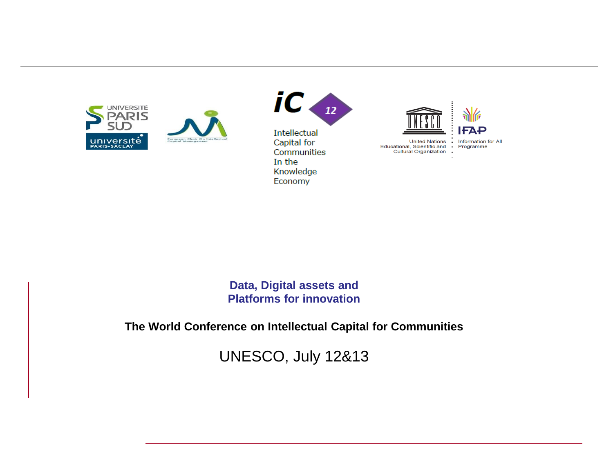





**United Nations** Educational, Scientific and<br>Cultural Organization  $\,$  .

Information for All Programme

**Data, Digital assets and Platforms for innovation**

**The World Conference on Intellectual Capital for Communities**

UNESCO, July 12&13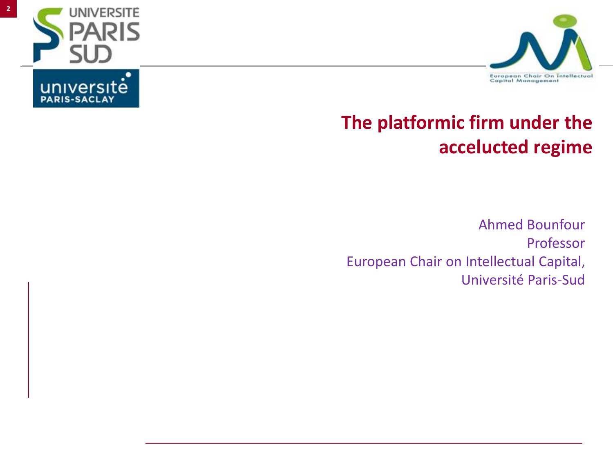





## **The platformic firm under the accelucted regime**

Ahmed Bounfour Professor European Chair on Intellectual Capital, Université Paris-Sud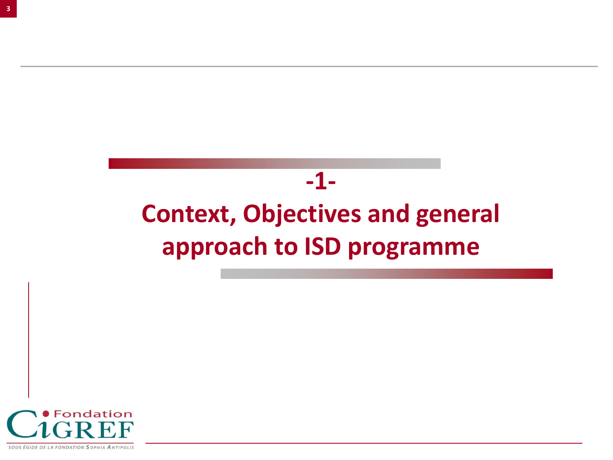# **-1- Context, Objectives and general approach to ISD programme**

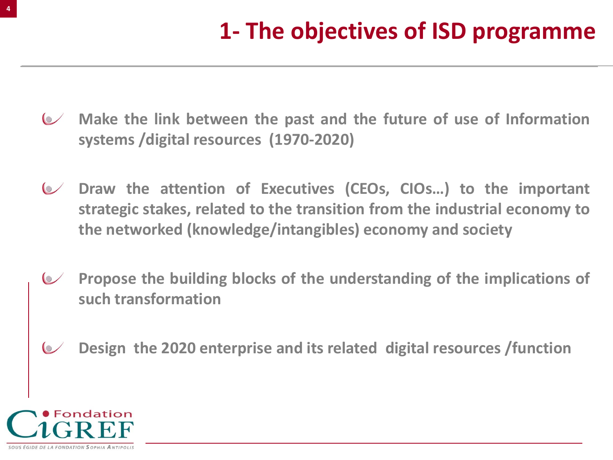- **Make the link between the past and the future of use of Information systems /digital resources (1970-2020)**
- **Draw the attention of Executives (CEOs, CIOs…) to the important strategic stakes, related to the transition from the industrial economy to the networked (knowledge/intangibles) economy and society**
- **Propose the building blocks of the understanding of the implications of such transformation**
- **Design the 2020 enterprise and its related digital resources /function**

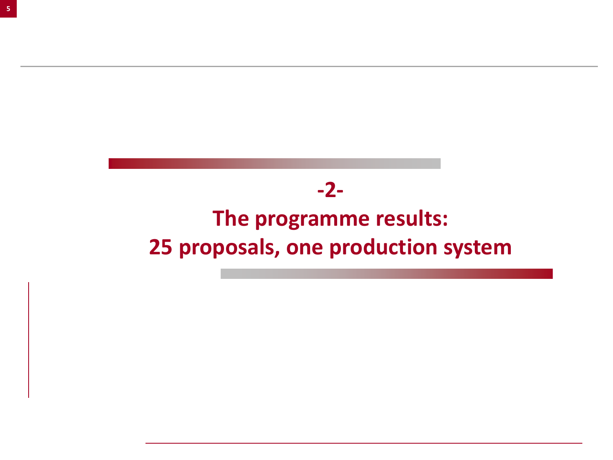### **-2-**

# **The programme results: 25 proposals, one production system**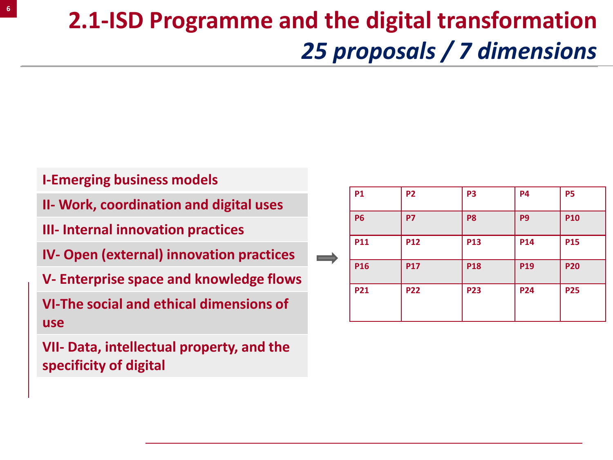# **2.1-ISD Programme and the digital transformation**  *25 proposals / 7 dimensions*

#### **I-Emerging business models**

**II- Work, coordination and digital uses**

**III- Internal innovation practices**

**IV- Open (external) innovation practices**

**V- Enterprise space and knowledge flows**

**VI-The social and ethical dimensions of use**

**VII- Data, intellectual property, and the specificity of digital**

|   | <b>P1</b> | <b>P2</b>  | P <sub>3</sub> | <b>P4</b>       | <b>P5</b>  |
|---|-----------|------------|----------------|-----------------|------------|
|   | <b>P6</b> | <b>P7</b>  | P <sub>8</sub> | P <sub>9</sub>  | <b>P10</b> |
| ▲ | P11       | <b>P12</b> | <b>P13</b>     | P14             | <b>P15</b> |
|   | P16       | <b>P17</b> | <b>P18</b>     | P <sub>19</sub> | <b>P20</b> |
|   | P21       | <b>P22</b> | <b>P23</b>     | <b>P24</b>      | <b>P25</b> |
|   |           |            |                |                 |            |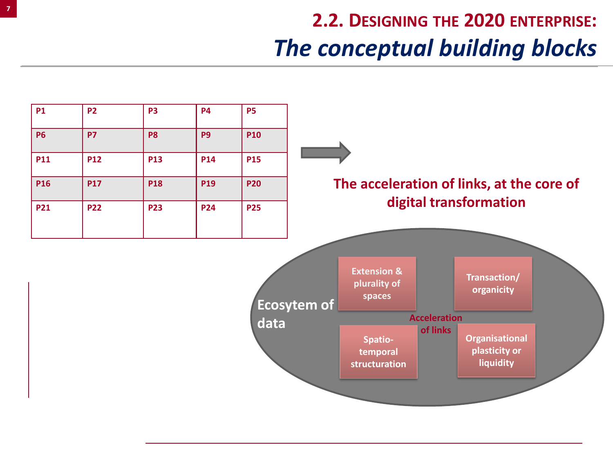# **2.2. DESIGNING THE 2020 ENTERPRISE:** *The conceptual building blocks*

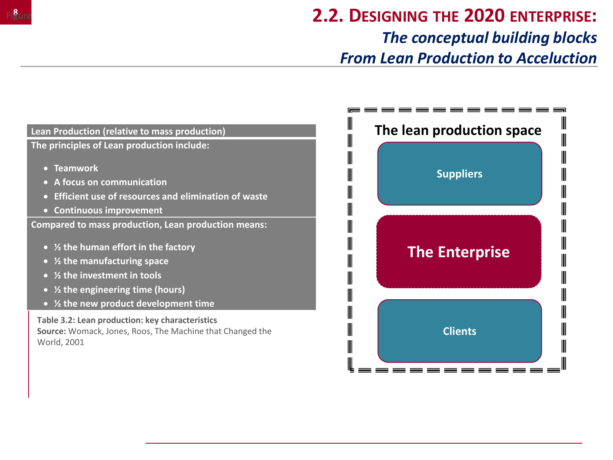

### **2.2. DESIGNING THE 2020 ENTERPRISE:** *The conceptual building blocks From Lean Production to Acceluction*

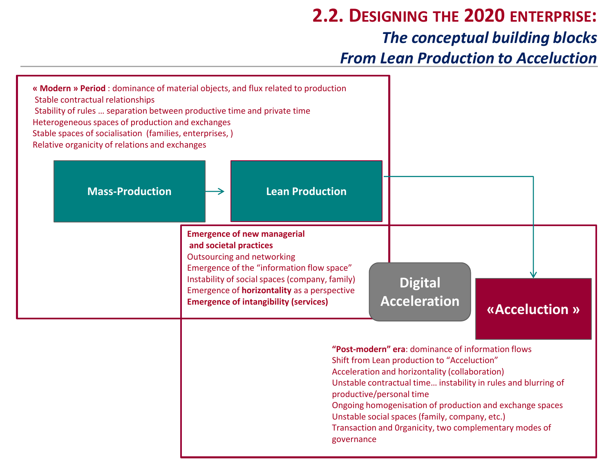### **2.2. DESIGNING THE 2020 ENTERPRISE:** *The conceptual building blocks From Lean Production to Acceluction*

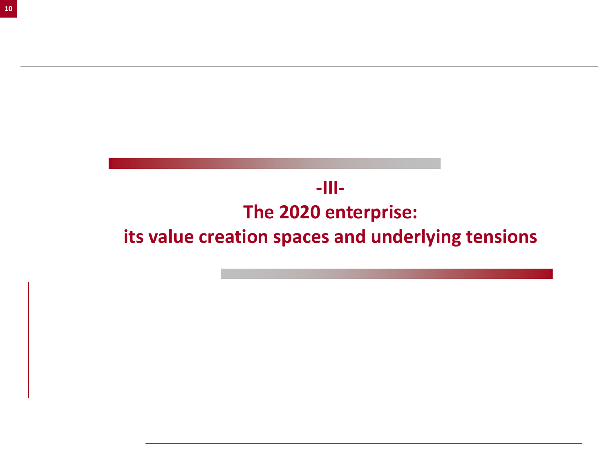## **-III-The 2020 enterprise: its value creation spaces and underlying tensions**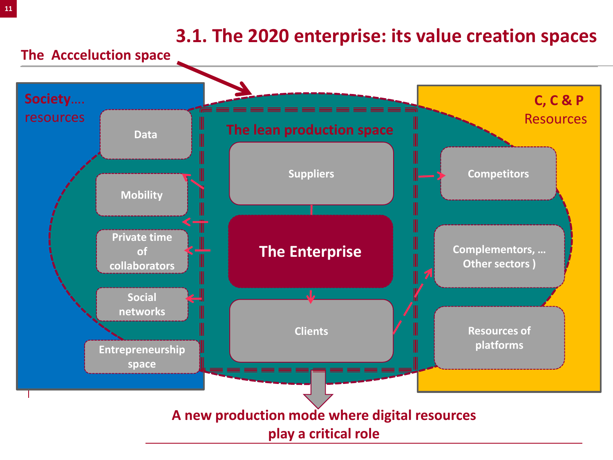#### **3.1. The 2020 enterprise: its value creation spaces**

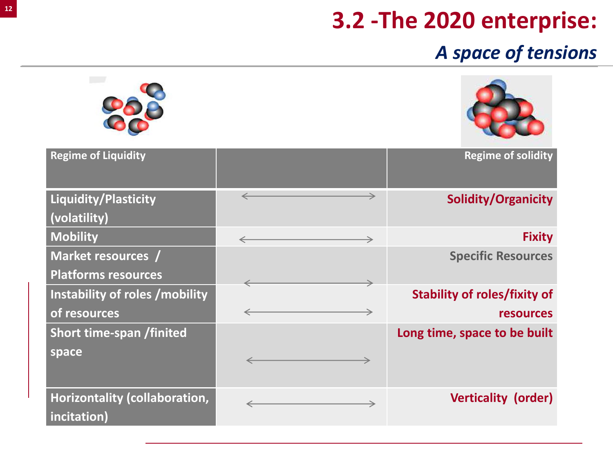# **3.2 -The 2020 enterprise:**

## *A space of tensions*

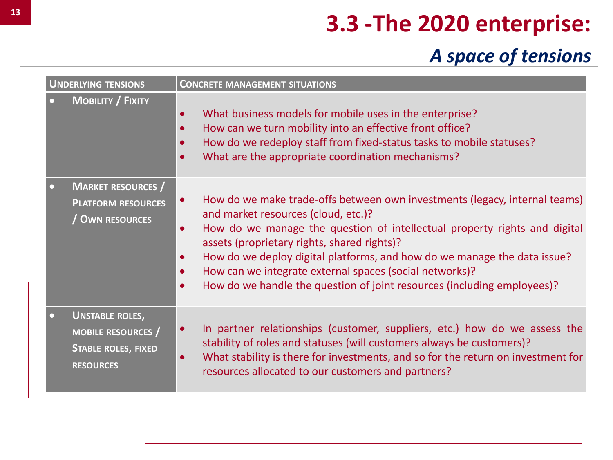# **3.3 -The 2020 enterprise:**

## *A space of tensions*

| <b>UNDERLYING TENSIONS</b> |                                                                                                     | <b>CONCRETE MANAGEMENT SITUATIONS</b>                                                                                                                                                                                                                                                                                                                                                                                                                                                                                            |
|----------------------------|-----------------------------------------------------------------------------------------------------|----------------------------------------------------------------------------------------------------------------------------------------------------------------------------------------------------------------------------------------------------------------------------------------------------------------------------------------------------------------------------------------------------------------------------------------------------------------------------------------------------------------------------------|
|                            | <b>MOBILITY / FIXITY</b>                                                                            | What business models for mobile uses in the enterprise?<br>$\bullet$<br>How can we turn mobility into an effective front office?<br>$\bullet$<br>How do we redeploy staff from fixed-status tasks to mobile statuses?<br>$\bullet$<br>What are the appropriate coordination mechanisms?<br>$\bullet$                                                                                                                                                                                                                             |
| n                          | <b>MARKET RESOURCES</b> /<br><b>PLATFORM RESOURCES</b><br>/ OWN RESOURCES                           | How do we make trade-offs between own investments (legacy, internal teams)<br>$\bullet$<br>and market resources (cloud, etc.)?<br>How do we manage the question of intellectual property rights and digital<br>$\bullet$<br>assets (proprietary rights, shared rights)?<br>How do we deploy digital platforms, and how do we manage the data issue?<br>$\bullet$<br>How can we integrate external spaces (social networks)?<br>$\bullet$<br>How do we handle the question of joint resources (including employees)?<br>$\bullet$ |
|                            | <b>UNSTABLE ROLES,</b><br><b>MOBILE RESOURCES</b><br><b>STABLE ROLES, FIXED</b><br><b>RESOURCES</b> | In partner relationships (customer, suppliers, etc.) how do we assess the<br>$\bullet$<br>stability of roles and statuses (will customers always be customers)?<br>What stability is there for investments, and so for the return on investment for<br>$\bullet$<br>resources allocated to our customers and partners?                                                                                                                                                                                                           |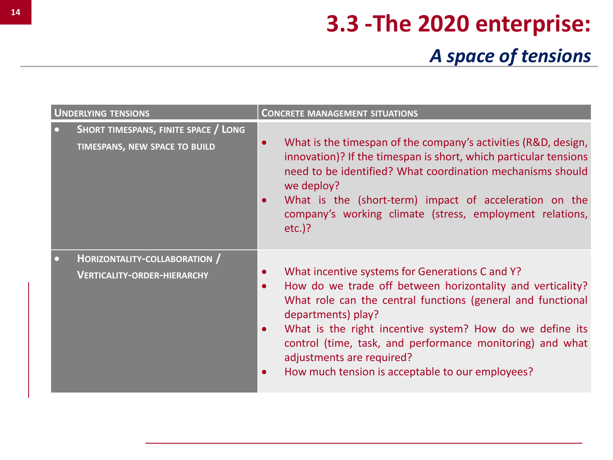# **3.3 -The 2020 enterprise:** *A space of tensions*

|           | <b>UNDERLYING TENSIONS</b>                                            | <b>CONCRETE MANAGEMENT SITUATIONS</b>            |                                                                                                                                                                                                                                                                                                                                                                                                              |  |
|-----------|-----------------------------------------------------------------------|--------------------------------------------------|--------------------------------------------------------------------------------------------------------------------------------------------------------------------------------------------------------------------------------------------------------------------------------------------------------------------------------------------------------------------------------------------------------------|--|
| $\bullet$ | SHORT TIMESPANS, FINITE SPACE / LONG<br>TIMESPANS, NEW SPACE TO BUILD | $\bullet$<br>$\bullet$                           | What is the timespan of the company's activities (R&D, design,<br>innovation)? If the timespan is short, which particular tensions<br>need to be identified? What coordination mechanisms should<br>we deploy?<br>What is the (short-term) impact of acceleration on the<br>company's working climate (stress, employment relations,<br>$etc.$ )?                                                            |  |
| $\bullet$ | HORIZONTALITY-COLLABORATION /<br><b>VERTICALITY-ORDER-HIERARCHY</b>   | $\bullet$<br>$\bullet$<br>$\bullet$<br>$\bullet$ | What incentive systems for Generations C and Y?<br>How do we trade off between horizontality and verticality?<br>What role can the central functions (general and functional<br>departments) play?<br>What is the right incentive system? How do we define its<br>control (time, task, and performance monitoring) and what<br>adjustments are required?<br>How much tension is acceptable to our employees? |  |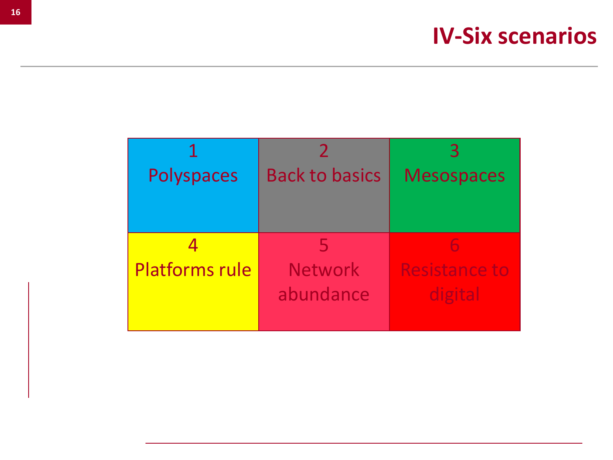| Polyspaces            | <b>Back to basics</b> | <b>Mesospaces</b>    |
|-----------------------|-----------------------|----------------------|
|                       |                       |                      |
|                       |                       |                      |
|                       |                       | h                    |
| <b>Platforms rule</b> | <b>Network</b>        | <b>Resistance to</b> |
|                       | abundance             | digital              |
|                       |                       |                      |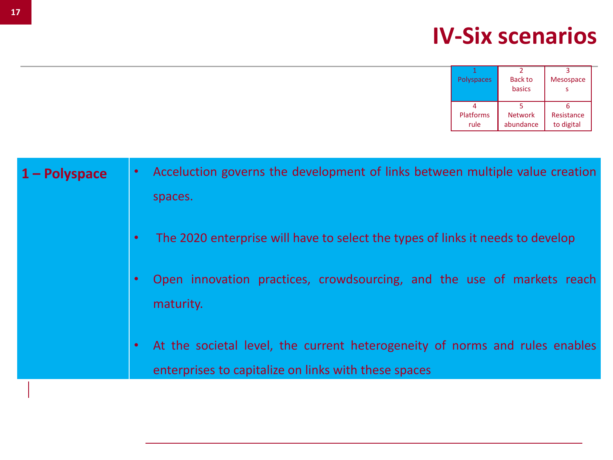| <b>Polyspaces</b> | Back to        | <b>Mesospace</b> |
|-------------------|----------------|------------------|
|                   | basics         |                  |
|                   |                |                  |
| <b>Platforms</b>  | <b>Network</b> | Resistance       |
| rule              | abundance      | to digital       |

| $\bullet$ | The 2020 enterprise will have to select the types of links it needs to develop                                                      |
|-----------|-------------------------------------------------------------------------------------------------------------------------------------|
| $\bullet$ | Open innovation practices, crowdsourcing, and the use of markets reach<br>maturity.                                                 |
| $\bullet$ | At the societal level, the current heterogeneity of norms and rules enables<br>enterprises to capitalize on links with these spaces |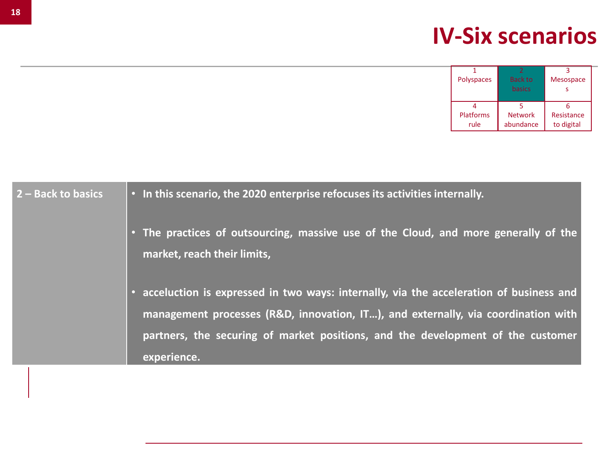| <b>Polyspaces</b> | Back to        | <b>Mesospace</b> |
|-------------------|----------------|------------------|
|                   | basics         |                  |
|                   |                |                  |
|                   |                |                  |
| <b>Platforms</b>  | <b>Network</b> | Resistance       |
| rule              | abundance      | to digital       |

| <b>2 – Back to basics</b> | $\ \cdot\ $ In this scenario, the 2020 enterprise refocuses its activities internally. |
|---------------------------|----------------------------------------------------------------------------------------|
|---------------------------|----------------------------------------------------------------------------------------|

• **The practices of outsourcing, massive use of the Cloud, and more generally of the market, reach their limits,**

• **acceluction is expressed in two ways: internally, via the acceleration of business and management processes (R&D, innovation, IT…), and externally, via coordination with partners, the securing of market positions, and the development of the customer experience.**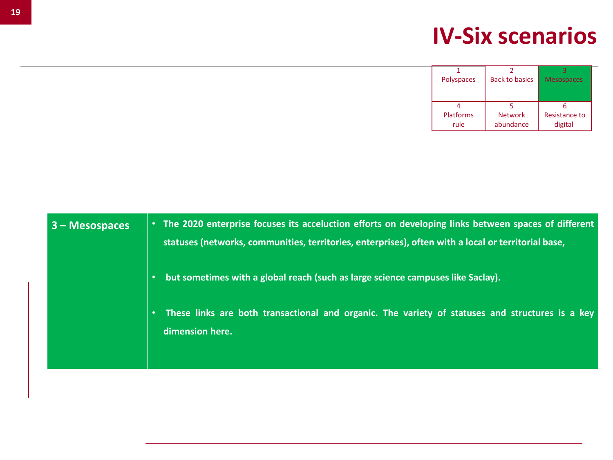| <b>Polyspaces</b> | <b>Back to basics</b> | <b>Mesospaces</b>    |
|-------------------|-----------------------|----------------------|
|                   |                       |                      |
|                   |                       |                      |
|                   |                       |                      |
| <b>Platforms</b>  | <b>Network</b>        | <b>Resistance to</b> |
| rule              | abundance             | digital              |

| $3 -$ Mesospaces | The 2020 enterprise focuses its acceluction efforts on developing links between spaces of different<br>statuses (networks, communities, territories, enterprises), often with a local or territorial base, |
|------------------|------------------------------------------------------------------------------------------------------------------------------------------------------------------------------------------------------------|
|                  | but sometimes with a global reach (such as large science campuses like Saclay).                                                                                                                            |
|                  | These links are both transactional and organic. The variety of statuses and structures is a key<br>dimension here.                                                                                         |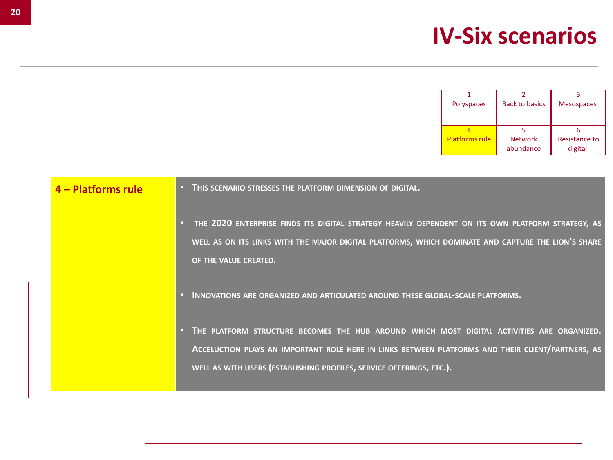| <b>Polyspaces</b>     | <b>Back to basics</b> | <b>Mesospaces</b> |
|-----------------------|-----------------------|-------------------|
|                       |                       |                   |
|                       |                       |                   |
|                       |                       |                   |
| <b>Platforms rule</b> | <b>Network</b>        | Resistance to     |
|                       | abundance             | digital           |

#### **4 – Platforms rule** • **THIS SCENARIO STRESSES THE PLATFORM DIMENSION OF DIGITAL.**

- **THE 2020 ENTERPRISE FINDS ITS DIGITAL STRATEGY HEAVILY DEPENDENT ON ITS OWN PLATFORM STRATEGY, AS** WELL AS ON ITS LINKS WITH THE MAJOR DIGITAL PLATFORMS, WHICH DOMINATE AND CAPTURE THE LION'S SHARE **OF THE VALUE CREATED.**
- **INNOVATIONS ARE ORGANIZED AND ARTICULATED AROUND THESE GLOBAL-SCALE PLATFORMS.**
- **THE PLATFORM STRUCTURE BECOMES THE HUB AROUND WHICH MOST DIGITAL ACTIVITIES ARE ORGANIZED. ACCELUCTION PLAYS AN IMPORTANT ROLE HERE IN LINKS BETWEEN PLATFORMS AND THEIR CLIENT/PARTNERS, AS WELL AS WITH USERS (ESTABLISHING PROFILES, SERVICE OFFERINGS, ETC.).**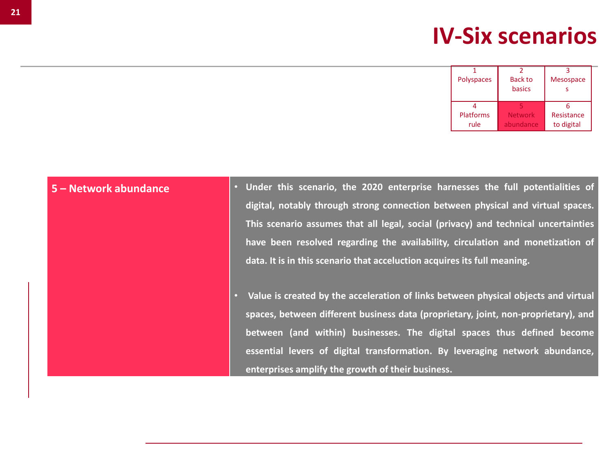| <b>Polyspaces</b> | <b>Back to</b> | <b>Mesospace</b> |
|-------------------|----------------|------------------|
|                   | basics         |                  |
|                   |                |                  |
|                   |                |                  |
| <b>Platforms</b>  | <b>Network</b> | Resistance       |
| rule              | abundance      | to digital       |

- **5 – Network abundance Under this scenario, the 2020 enterprise harnesses the full potentialities of digital, notably through strong connection between physical and virtual spaces. This scenario assumes that all legal, social (privacy) and technical uncertainties have been resolved regarding the availability, circulation and monetization of data. It is in this scenario that acceluction acquires its full meaning.**
	- **Value is created by the acceleration of links between physical objects and virtual spaces, between different business data (proprietary, joint, non-proprietary), and between (and within) businesses. The digital spaces thus defined become essential levers of digital transformation. By leveraging network abundance, enterprises amplify the growth of their business.**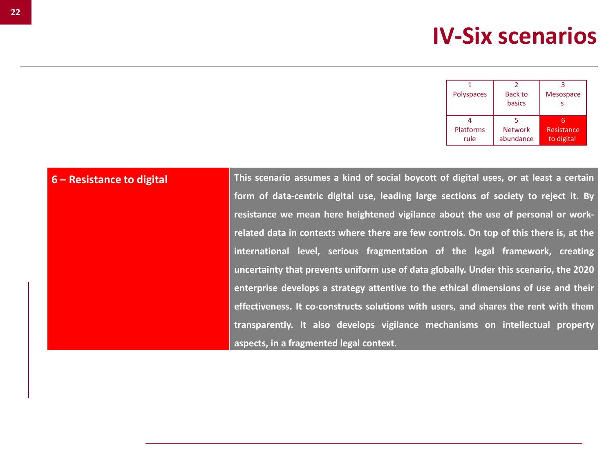| <b>Polyspaces</b> | <b>Back to</b> | <b>Mesospace</b> |
|-------------------|----------------|------------------|
|                   | basics         |                  |
|                   |                |                  |
|                   |                |                  |
| Platforms         | <b>Network</b> | Resistance       |
| rule              | abundance      | to digital       |

6 - Resistance to digital This scenario assumes a kind of social boycott of digital uses, or at least a certain **form of data-centric digital use, leading large sections of society to reject it. By resistance we mean here heightened vigilance about the use of personal or workrelated data in contexts where there are few controls. On top of this there is, at the international level, serious fragmentation of the legal framework, creating uncertainty that prevents uniform use of data globally. Under this scenario, the 2020 enterprise develops a strategy attentive to the ethical dimensions of use and their effectiveness. It co-constructs solutions with users, and shares the rent with them transparently. It also develops vigilance mechanisms on intellectual property aspects, in a fragmented legal context.**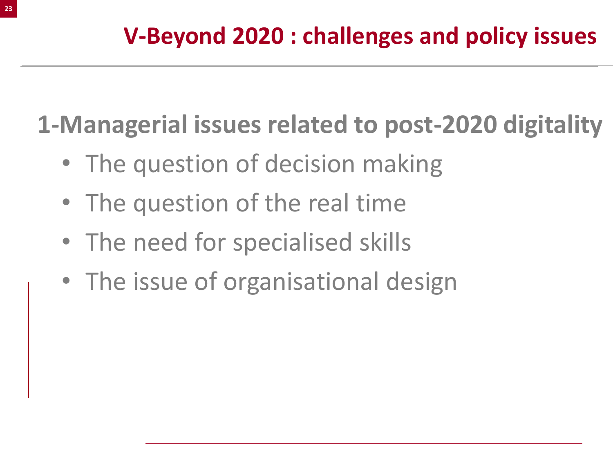**1-Managerial issues related to post-2020 digitality**

- The question of decision making
- The question of the real time
- The need for specialised skills
- The issue of organisational design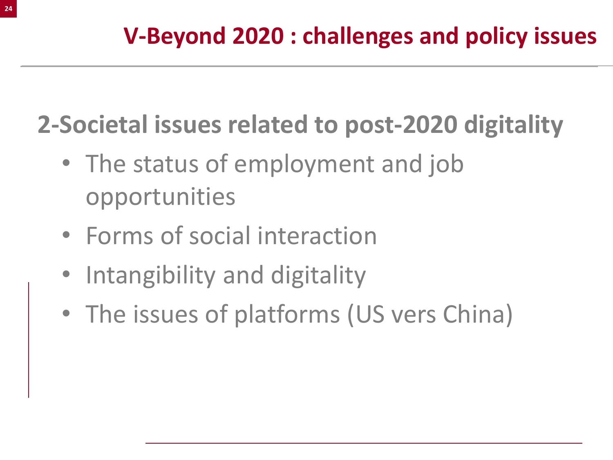**2-Societal issues related to post-2020 digitality**

- The status of employment and job opportunities
- Forms of social interaction
- Intangibility and digitality
- The issues of platforms (US vers China)